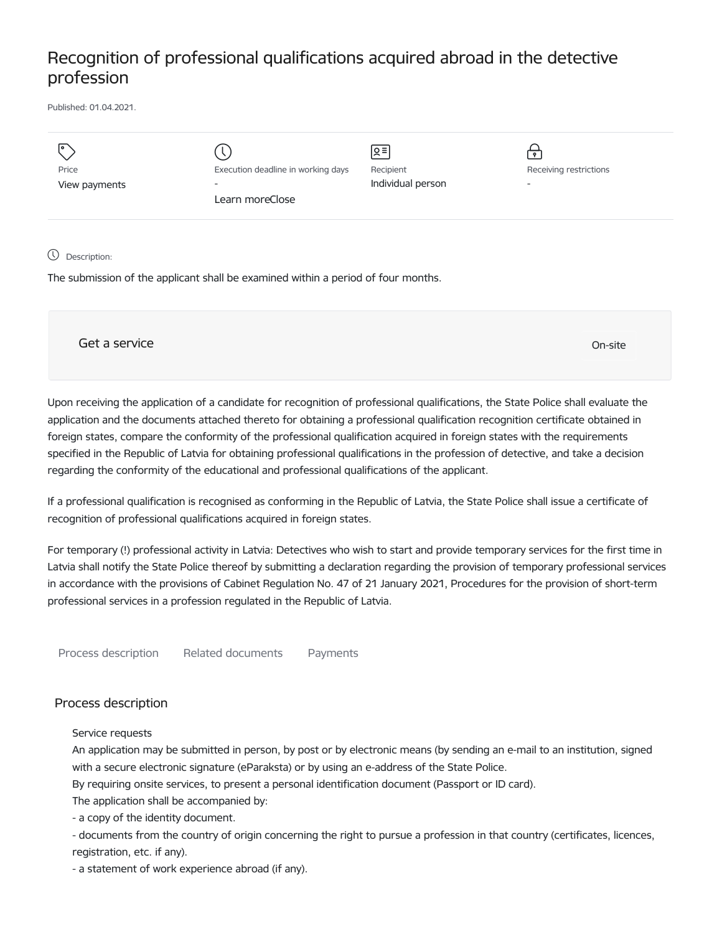## Recognition of professional qualifications acquired abroad in the detective profession

Published: 01.04.2021.

| Price<br>View payments | Execution deadline in working days<br>$\overline{\phantom{a}}$<br>Learn moreClose | $\sqrt{2}$<br>Recipient<br>Individual person | ۰<br>Receiving restrictions<br>$\overline{\phantom{a}}$ |
|------------------------|-----------------------------------------------------------------------------------|----------------------------------------------|---------------------------------------------------------|
|                        |                                                                                   |                                              |                                                         |

## Description:

The submission of the applicant shall be examined within a period of four months.

Get a service only a service of the contract of the contract of the contract of the contract of the contract of the contract of the contract of the contract of the contract of the contract of the contract of the contract o

Upon receiving the application of a candidate for recognition of professional qualifications, the State Police shall evaluate the application and the documents attached thereto for obtaining a professional qualification recognition certificate obtained in foreign states, compare the conformity of the professional qualification acquired in foreign states with the requirements specified in the Republic of Latvia for obtaining professional qualifications in the profession of detective, and take a decision regarding the conformity of the educational and professional qualifications of the applicant.

If a professional qualification is recognised as conforming in the Republic of Latvia, the State Police shall issue a certificate of recognition of professional qualifications acquired in foreign states.

For temporary (!) professional activity in Latvia: Detectives who wish to start and provide temporary services for the first time in Latvia shall notify the State Police thereof by submitting a declaration regarding the provision of temporary professional services in accordance with the provisions of Cabinet Regulation No. 47 of 21 January 2021, Procedures for the provision of short-term professional services in a profession regulated in the Republic of Latvia.

Process description Related documents Payments

## Process description

Service requests

An application may be submitted in person, by post or by electronic means (by sending an e-mail to an institution, signed with a secure electronic signature (eParaksta) or by using an e-address of the State Police.

By requiring onsite services, to present a personal identification document (Passport or ID card).

The application shall be accompanied by:

- a copy of the identity document.

- documents from the country of origin concerning the right to pursue a profession in that country (certificates, licences, registration, etc. if any).

- a statement of work experience abroad (if any).